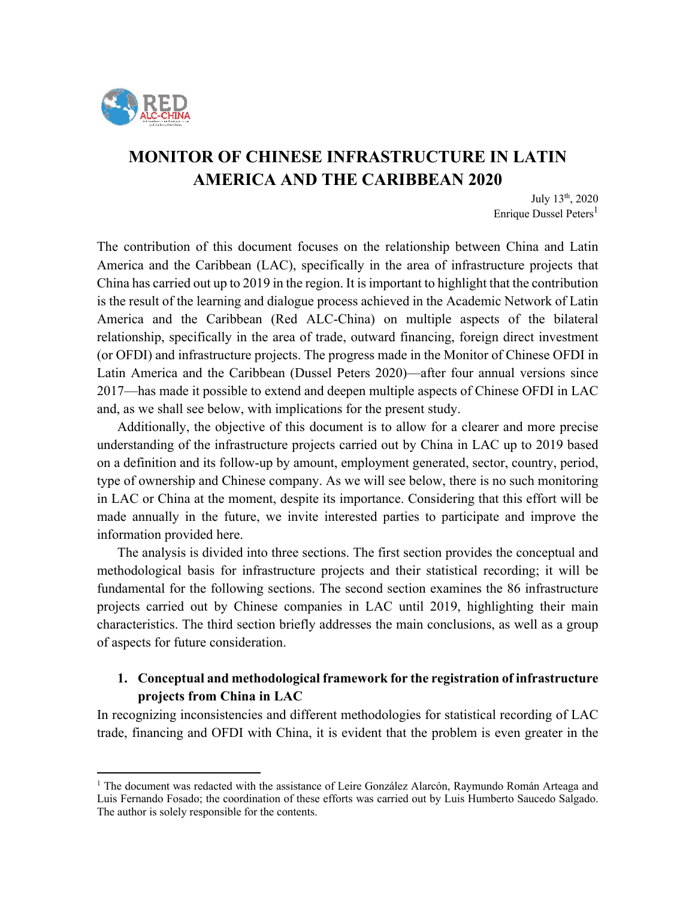

# **MONITOR OF CHINESE INFRASTRUCTURE IN LATIN AMERICA AND THE CARIBBEAN 2020**

July 13th, 2020 Enrique Dussel Peters<sup>1</sup>

The contribution of this document focuses on the relationship between China and Latin America and the Caribbean (LAC), specifically in the area of infrastructure projects that China has carried out up to 2019 in the region. It is important to highlight that the contribution is the result of the learning and dialogue process achieved in the Academic Network of Latin America and the Caribbean (Red ALC-China) on multiple aspects of the bilateral relationship, specifically in the area of trade, outward financing, foreign direct investment (or OFDI) and infrastructure projects. The progress made in the Monitor of Chinese OFDI in Latin America and the Caribbean (Dussel Peters 2020)—after four annual versions since 2017—has made it possible to extend and deepen multiple aspects of Chinese OFDI in LAC and, as we shall see below, with implications for the present study.

Additionally, the objective of this document is to allow for a clearer and more precise understanding of the infrastructure projects carried out by China in LAC up to 2019 based on a definition and its follow-up by amount, employment generated, sector, country, period, type of ownership and Chinese company. As we will see below, there is no such monitoring in LAC or China at the moment, despite its importance. Considering that this effort will be made annually in the future, we invite interested parties to participate and improve the information provided here.

The analysis is divided into three sections. The first section provides the conceptual and methodological basis for infrastructure projects and their statistical recording; it will be fundamental for the following sections. The second section examines the 86 infrastructure projects carried out by Chinese companies in LAC until 2019, highlighting their main characteristics. The third section briefly addresses the main conclusions, as well as a group of aspects for future consideration.

### **1. Conceptual and methodological framework for the registration of infrastructure projects from China in LAC**

In recognizing inconsistencies and different methodologies for statistical recording of LAC trade, financing and OFDI with China, it is evident that the problem is even greater in the

<sup>&</sup>lt;sup>1</sup> The document was redacted with the assistance of Leire González Alarcón, Raymundo Román Arteaga and Luis Fernando Fosado; the coordination of these efforts was carried out by Luis Humberto Saucedo Salgado. The author is solely responsible for the contents.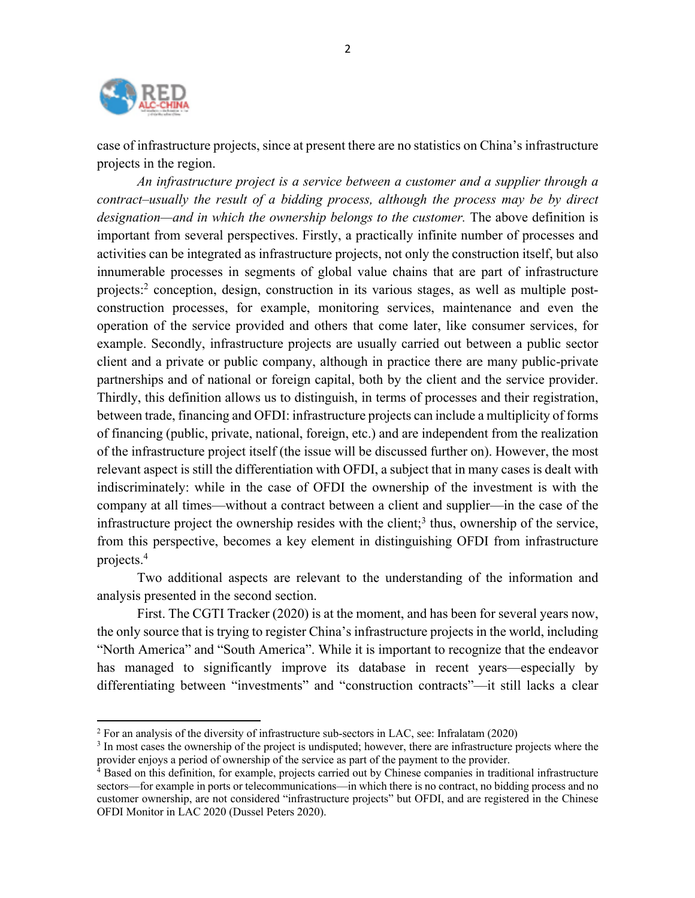

case of infrastructure projects, since at present there are no statistics on China's infrastructure projects in the region.

*An infrastructure project is a service between a customer and a supplier through a contract–usually the result of a bidding process, although the process may be by direct designation—and in which the ownership belongs to the customer.* The above definition is important from several perspectives. Firstly, a practically infinite number of processes and activities can be integrated as infrastructure projects, not only the construction itself, but also innumerable processes in segments of global value chains that are part of infrastructure projects: <sup>2</sup> conception, design, construction in its various stages, as well as multiple postconstruction processes, for example, monitoring services, maintenance and even the operation of the service provided and others that come later, like consumer services, for example. Secondly, infrastructure projects are usually carried out between a public sector client and a private or public company, although in practice there are many public-private partnerships and of national or foreign capital, both by the client and the service provider. Thirdly, this definition allows us to distinguish, in terms of processes and their registration, between trade, financing and OFDI: infrastructure projects can include a multiplicity of forms of financing (public, private, national, foreign, etc.) and are independent from the realization of the infrastructure project itself (the issue will be discussed further on). However, the most relevant aspect is still the differentiation with OFDI, a subject that in many cases is dealt with indiscriminately: while in the case of OFDI the ownership of the investment is with the company at all times—without a contract between a client and supplier—in the case of the infrastructure project the ownership resides with the client; <sup>3</sup> thus, ownership of the service, from this perspective, becomes a key element in distinguishing OFDI from infrastructure projects. 4

Two additional aspects are relevant to the understanding of the information and analysis presented in the second section.

First. The CGTI Tracker (2020) is at the moment, and has been for several years now, the only source that is trying to register China's infrastructure projects in the world, including "North America" and "South America". While it is important to recognize that the endeavor has managed to significantly improve its database in recent years—especially by differentiating between "investments" and "construction contracts"—it still lacks a clear

 $2$  For an analysis of the diversity of infrastructure sub-sectors in LAC, see: Infralatam (2020)

<sup>&</sup>lt;sup>3</sup> In most cases the ownership of the project is undisputed; however, there are infrastructure projects where the provider enjoys a period of ownership of the service as part of the payment to the provider.

<sup>&</sup>lt;sup>4</sup> Based on this definition, for example, projects carried out by Chinese companies in traditional infrastructure sectors—for example in ports or telecommunications—in which there is no contract, no bidding process and no customer ownership, are not considered "infrastructure projects" but OFDI, and are registered in the Chinese OFDI Monitor in LAC 2020 (Dussel Peters 2020).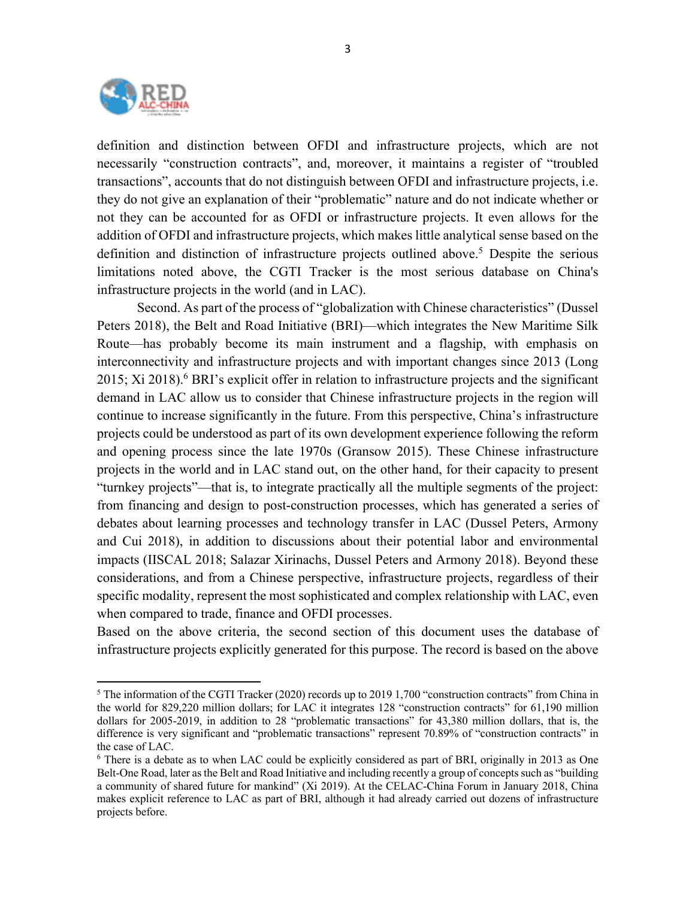

definition and distinction between OFDI and infrastructure projects, which are not necessarily "construction contracts", and, moreover, it maintains a register of "troubled transactions", accounts that do not distinguish between OFDI and infrastructure projects, i.e. they do not give an explanation of their "problematic" nature and do not indicate whether or not they can be accounted for as OFDI or infrastructure projects. It even allows for the addition of OFDI and infrastructure projects, which makes little analytical sense based on the definition and distinction of infrastructure projects outlined above. <sup>5</sup> Despite the serious limitations noted above, the CGTI Tracker is the most serious database on China's infrastructure projects in the world (and in LAC).

Second. As part of the process of "globalization with Chinese characteristics" (Dussel Peters 2018), the Belt and Road Initiative (BRI)—which integrates the New Maritime Silk Route—has probably become its main instrument and a flagship, with emphasis on interconnectivity and infrastructure projects and with important changes since 2013 (Long 2015; Xi 2018). <sup>6</sup> BRI's explicit offer in relation to infrastructure projects and the significant demand in LAC allow us to consider that Chinese infrastructure projects in the region will continue to increase significantly in the future. From this perspective, China's infrastructure projects could be understood as part of its own development experience following the reform and opening process since the late 1970s (Gransow 2015). These Chinese infrastructure projects in the world and in LAC stand out, on the other hand, for their capacity to present "turnkey projects"—that is, to integrate practically all the multiple segments of the project: from financing and design to post-construction processes, which has generated a series of debates about learning processes and technology transfer in LAC (Dussel Peters, Armony and Cui 2018), in addition to discussions about their potential labor and environmental impacts (IISCAL 2018; Salazar Xirinachs, Dussel Peters and Armony 2018). Beyond these considerations, and from a Chinese perspective, infrastructure projects, regardless of their specific modality, represent the most sophisticated and complex relationship with LAC, even when compared to trade, finance and OFDI processes.

Based on the above criteria, the second section of this document uses the database of infrastructure projects explicitly generated for this purpose. The record is based on the above

 $<sup>5</sup>$  The information of the CGTI Tracker (2020) records up to 2019 1.700 "construction contracts" from China in</sup> the world for 829,220 million dollars; for LAC it integrates 128 "construction contracts" for 61,190 million dollars for 2005-2019, in addition to 28 "problematic transactions" for 43,380 million dollars, that is, the difference is very significant and "problematic transactions" represent 70.89% of "construction contracts" in the case of LAC.

<sup>6</sup> There is a debate as to when LAC could be explicitly considered as part of BRI, originally in 2013 as One Belt-One Road, later as the Belt and Road Initiative and including recently a group of concepts such as "building a community of shared future for mankind" (Xi 2019). At the CELAC-China Forum in January 2018, China makes explicit reference to LAC as part of BRI, although it had already carried out dozens of infrastructure projects before.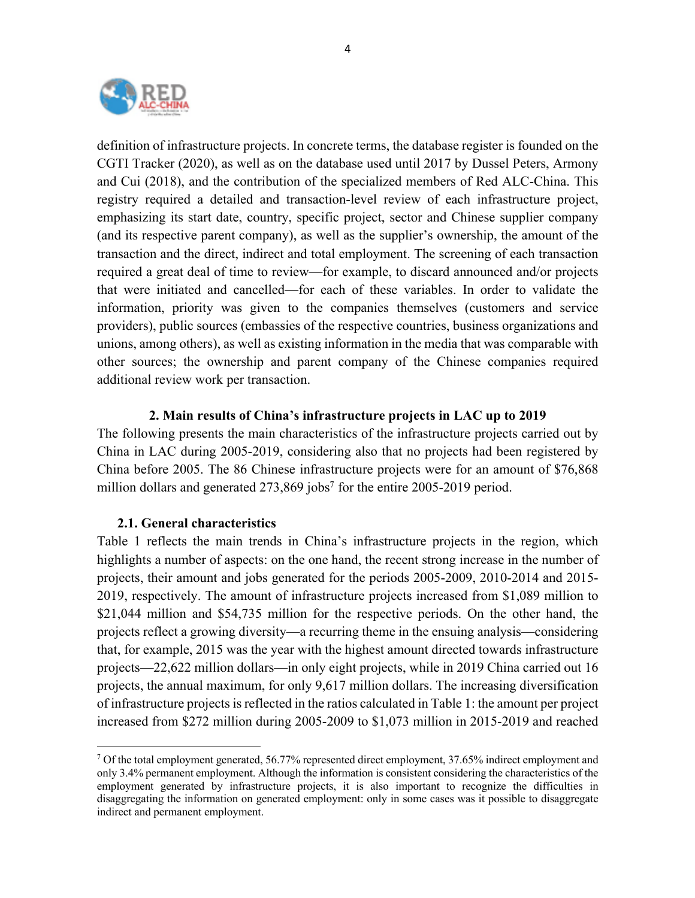

definition of infrastructure projects. In concrete terms, the database register is founded on the CGTI Tracker (2020), as well as on the database used until 2017 by Dussel Peters, Armony and Cui (2018), and the contribution of the specialized members of Red ALC-China. This registry required a detailed and transaction-level review of each infrastructure project, emphasizing its start date, country, specific project, sector and Chinese supplier company (and its respective parent company), as well as the supplier's ownership, the amount of the transaction and the direct, indirect and total employment. The screening of each transaction required a great deal of time to review—for example, to discard announced and/or projects that were initiated and cancelled—for each of these variables. In order to validate the information, priority was given to the companies themselves (customers and service providers), public sources (embassies of the respective countries, business organizations and unions, among others), as well as existing information in the media that was comparable with other sources; the ownership and parent company of the Chinese companies required additional review work per transaction.

#### **2. Main results of China's infrastructure projects in LAC up to 2019**

The following presents the main characteristics of the infrastructure projects carried out by China in LAC during 2005-2019, considering also that no projects had been registered by China before 2005. The 86 Chinese infrastructure projects were for an amount of \$76,868 million dollars and generated  $273,869$  jobs<sup>7</sup> for the entire 2005-2019 period.

#### **2.1. General characteristics**

Table 1 reflects the main trends in China's infrastructure projects in the region, which highlights a number of aspects: on the one hand, the recent strong increase in the number of projects, their amount and jobs generated for the periods 2005-2009, 2010-2014 and 2015- 2019, respectively. The amount of infrastructure projects increased from \$1,089 million to \$21,044 million and \$54,735 million for the respective periods. On the other hand, the projects reflect a growing diversity—a recurring theme in the ensuing analysis—considering that, for example, 2015 was the year with the highest amount directed towards infrastructure projects—22,622 million dollars—in only eight projects, while in 2019 China carried out 16 projects, the annual maximum, for only 9,617 million dollars. The increasing diversification of infrastructure projects is reflected in the ratios calculated in Table 1: the amount per project increased from \$272 million during 2005-2009 to \$1,073 million in 2015-2019 and reached

 $7$  Of the total employment generated, 56.77% represented direct employment, 37.65% indirect employment and only 3.4% permanent employment. Although the information is consistent considering the characteristics of the employment generated by infrastructure projects, it is also important to recognize the difficulties in disaggregating the information on generated employment: only in some cases was it possible to disaggregate indirect and permanent employment.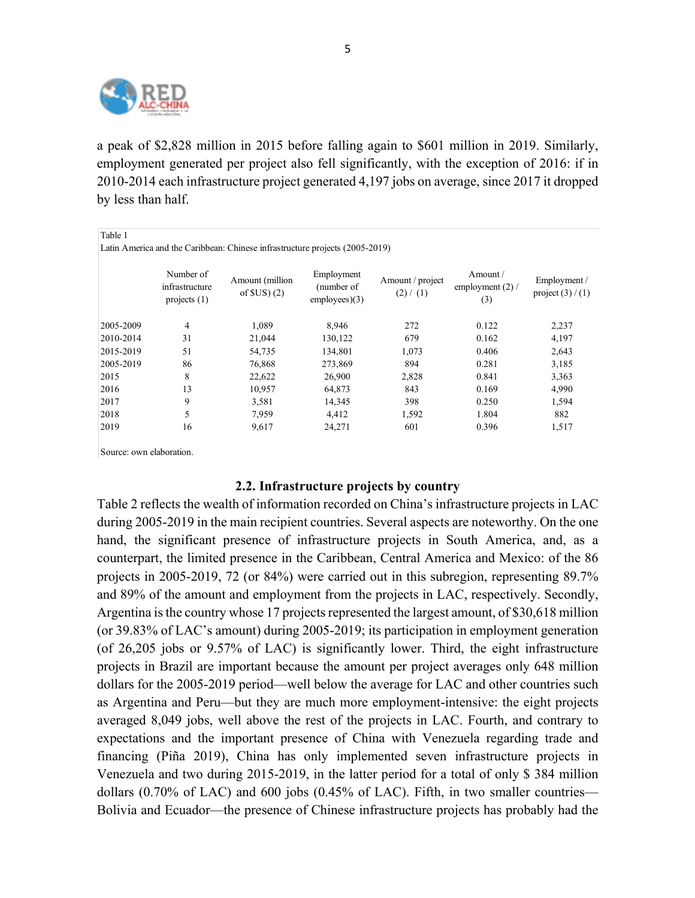

a peak of \$2,828 million in 2015 before falling again to \$601 million in 2019. Similarly, employment generated per project also fell significantly, with the exception of 2016: if in 2010-2014 each infrastructure project generated 4,197 jobs on average, since 2017 it dropped by less than half.

Table 1 Latin America and the Caribbean: Chinese infrastructure projects (2005-2019)

|           | Number of<br>infrastructure<br>projects $(1)$ | Amount (million<br>of $SUS(2)$ | Employment<br>(number of<br>employees)(3) | Amount / project<br>(2) / (1) | Amount $\sqrt{}$<br>employment $(2)$ /<br>(3) | Employment /<br>project $(3) / (1)$ |
|-----------|-----------------------------------------------|--------------------------------|-------------------------------------------|-------------------------------|-----------------------------------------------|-------------------------------------|
| 2005-2009 | 4                                             | 1,089                          | 8,946                                     | 272                           | 0.122                                         | 2,237                               |
| 2010-2014 | 31                                            | 21,044                         | 130,122                                   | 679                           | 0.162                                         | 4,197                               |
| 2015-2019 | 51                                            | 54,735                         | 134,801                                   | 1,073                         | 0.406                                         | 2,643                               |
| 2005-2019 | 86                                            | 76,868                         | 273,869                                   | 894                           | 0.281                                         | 3,185                               |
| 2015      | 8                                             | 22,622                         | 26,900                                    | 2,828                         | 0.841                                         | 3,363                               |
| 2016      | 13                                            | 10,957                         | 64.873                                    | 843                           | 0.169                                         | 4,990                               |
| 2017      | 9                                             | 3,581                          | 14,345                                    | 398                           | 0.250                                         | 1,594                               |
| 2018      | 5                                             | 7.959                          | 4.412                                     | 1,592                         | 1.804                                         | 882                                 |
| 2019      | 16                                            | 9,617                          | 24,271                                    | 601                           | 0.396                                         | 1,517                               |

Source: own elaboration.

### **2.2. Infrastructure projects by country**

Table 2 reflects the wealth of information recorded on China's infrastructure projects in LAC during 2005-2019 in the main recipient countries. Several aspects are noteworthy. On the one hand, the significant presence of infrastructure projects in South America, and, as a counterpart, the limited presence in the Caribbean, Central America and Mexico: of the 86 projects in 2005-2019, 72 (or 84%) were carried out in this subregion, representing 89.7% and 89% of the amount and employment from the projects in LAC, respectively. Secondly, Argentina is the country whose 17 projects represented the largest amount, of \$30,618 million (or 39.83% of LAC's amount) during 2005-2019; its participation in employment generation (of 26,205 jobs or 9.57% of LAC) is significantly lower. Third, the eight infrastructure projects in Brazil are important because the amount per project averages only 648 million dollars for the 2005-2019 period—well below the average for LAC and other countries such as Argentina and Peru—but they are much more employment-intensive: the eight projects averaged 8,049 jobs, well above the rest of the projects in LAC. Fourth, and contrary to expectations and the important presence of China with Venezuela regarding trade and financing (Piña 2019), China has only implemented seven infrastructure projects in Venezuela and two during 2015-2019, in the latter period for a total of only \$ 384 million dollars (0.70% of LAC) and 600 jobs (0.45% of LAC). Fifth, in two smaller countries— Bolivia and Ecuador—the presence of Chinese infrastructure projects has probably had the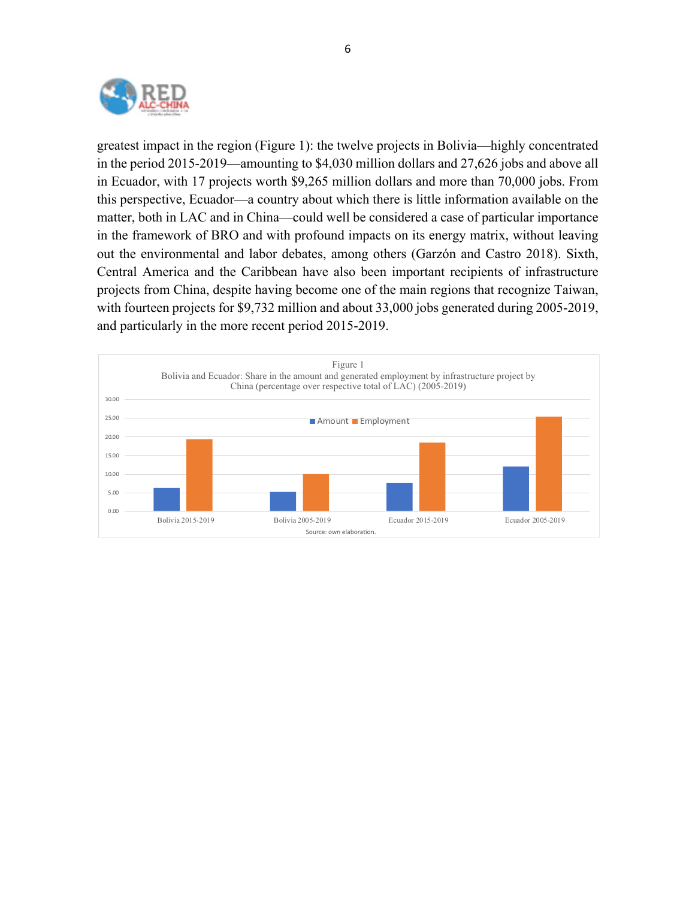

greatest impact in the region (Figure 1): the twelve projects in Bolivia—highly concentrated in the period 2015-2019—amounting to \$4,030 million dollars and 27,626 jobs and above all in Ecuador, with 17 projects worth \$9,265 million dollars and more than 70,000 jobs. From this perspective, Ecuador—a country about which there is little information available on the matter, both in LAC and in China—could well be considered a case of particular importance in the framework of BRO and with profound impacts on its energy matrix, without leaving out the environmental and labor debates, among others (Garzón and Castro 2018). Sixth, Central America and the Caribbean have also been important recipients of infrastructure projects from China, despite having become one of the main regions that recognize Taiwan, with fourteen projects for \$9,732 million and about 33,000 jobs generated during 2005-2019, and particularly in the more recent period 2015-2019.

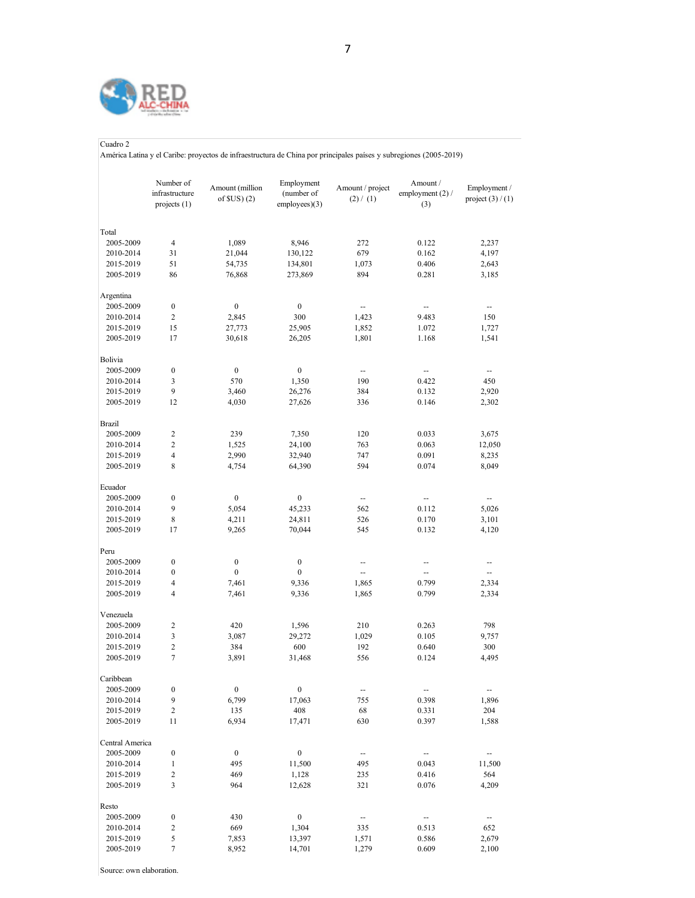

#### Cuadro 2

América Latina y el Caribe: proyectos de infraestructura de China por principales países y subregiones (2005-2019)

|                        | Number of<br>infrastructure<br>projects (1) | Amount (million<br>of $SUS(2)$ | Employment<br>(number of<br>employees)(3) | Amount / project<br>(2) / (1) | Amount /<br>employment $(2)$ /<br>(3) | Employment /<br>project $(3) / (1)$ |
|------------------------|---------------------------------------------|--------------------------------|-------------------------------------------|-------------------------------|---------------------------------------|-------------------------------------|
| Total                  |                                             |                                |                                           |                               |                                       |                                     |
| 2005-2009              | $\overline{4}$                              | 1,089                          | 8,946                                     | 272                           | 0.122                                 | 2,237                               |
| 2010-2014              | 31                                          | 21,044                         | 130,122                                   | 679                           | 0.162                                 | 4,197                               |
| 2015-2019              | 51                                          | 54,735                         | 134,801                                   | 1,073                         | 0.406                                 | 2,643                               |
| 2005-2019              | 86                                          | 76,868                         | 273,869                                   | 894                           | 0.281                                 | 3,185                               |
| Argentina              |                                             |                                |                                           |                               |                                       |                                     |
| 2005-2009              | $\boldsymbol{0}$                            | $\boldsymbol{0}$               | $\boldsymbol{0}$                          | --                            | --                                    | --                                  |
| 2010-2014              | $\overline{c}$                              | 2,845                          | 300                                       | 1,423                         | 9.483                                 | 150                                 |
| 2015-2019<br>2005-2019 | 15<br>17                                    | 27,773<br>30,618               | 25,905<br>26,205                          | 1,852<br>1,801                | 1.072<br>1.168                        | 1,727<br>1,541                      |
| Bolivia                |                                             |                                |                                           |                               |                                       |                                     |
| 2005-2009              | $\boldsymbol{0}$                            | $\boldsymbol{0}$               | $\boldsymbol{0}$                          | $\overline{\phantom{a}}$      | -−                                    | ⊷                                   |
| 2010-2014              | 3                                           | 570                            | 1,350                                     | 190                           | 0.422                                 | 450                                 |
| 2015-2019              | 9                                           | 3,460                          | 26,276                                    | 384                           | 0.132                                 | 2,920                               |
| 2005-2019              | 12                                          | 4,030                          | 27,626                                    | 336                           | 0.146                                 | 2,302                               |
| <b>Brazil</b>          |                                             |                                |                                           |                               |                                       |                                     |
| 2005-2009              | $\overline{c}$                              | 239                            | 7,350                                     | 120                           | 0.033                                 | 3,675                               |
| 2010-2014              | $\overline{c}$                              | 1,525                          | 24,100                                    | 763                           | 0.063                                 | 12,050                              |
| 2015-2019              | $\overline{4}$                              | 2,990                          | 32,940                                    | 747                           | 0.091                                 | 8,235                               |
| 2005-2019              | 8                                           | 4,754                          | 64,390                                    | 594                           | 0.074                                 | 8,049                               |
| Ecuador                |                                             |                                |                                           |                               |                                       |                                     |
| 2005-2009              | $\boldsymbol{0}$                            | $\boldsymbol{0}$               | $\boldsymbol{0}$                          | $\overline{\phantom{a}}$      |                                       | --                                  |
| 2010-2014              | 9                                           | 5,054                          | 45,233                                    | 562                           | 0.112                                 | 5,026                               |
| 2015-2019              | 8                                           | 4,211                          | 24,811                                    | 526                           | 0.170                                 | 3,101                               |
| 2005-2019              | 17                                          | 9,265                          | 70,044                                    | 545                           | 0.132                                 | 4,120                               |
| Peru                   |                                             |                                |                                           |                               |                                       |                                     |
| 2005-2009              | $\boldsymbol{0}$                            | $\boldsymbol{0}$               | $\boldsymbol{0}$                          | -−                            | --                                    | ÷                                   |
| 2010-2014              | $\boldsymbol{0}$                            | $\boldsymbol{0}$               | $\boldsymbol{0}$                          | --                            | $\overline{\phantom{a}}$              | --                                  |
| 2015-2019              | 4                                           | 7,461                          | 9,336                                     | 1,865                         | 0.799                                 | 2,334                               |
| 2005-2019              | $\overline{4}$                              | 7,461                          | 9,336                                     | 1,865                         | 0.799                                 | 2,334                               |
| Venezuela              |                                             |                                |                                           |                               |                                       |                                     |
| 2005-2009              | $\overline{c}$                              | 420                            | 1,596                                     | 210                           | 0.263                                 | 798                                 |
| 2010-2014              | 3                                           | 3,087                          | 29,272                                    | 1,029                         | 0.105                                 | 9,757                               |
| 2015-2019              | $\overline{c}$                              | 384                            | 600                                       | 192                           | 0.640                                 | 300                                 |
| 2005-2019              | $\tau$                                      | 3,891                          | 31,468                                    | 556                           | 0.124                                 | 4,495                               |
| Caribbean              |                                             |                                |                                           |                               |                                       |                                     |
| 2005-2009              | $\boldsymbol{0}$                            | $\boldsymbol{0}$               | $\boldsymbol{0}$                          | $\overline{\phantom{a}}$      | ₩,                                    | $\overline{\phantom{a}}$            |
| 2010-2014              | 9                                           | 6,799                          | 17,063                                    | 755                           | 0.398                                 | 1,896                               |
| 2015-2019              | 2                                           | 135                            | 408                                       | 68                            | 0.331                                 | 204                                 |
| 2005-2019              | 11                                          | 6,934                          | 17,471                                    | 630                           | 0.397                                 | 1,588                               |
| Central America        |                                             |                                |                                           |                               |                                       |                                     |
| 2005-2009              | $\boldsymbol{0}$                            | $\boldsymbol{0}$               | $\boldsymbol{0}$                          | $\qquad \qquad \cdots$        | ۰.                                    | --                                  |
| 2010-2014              | $\mathbf{1}$                                | 495                            | 11,500                                    | 495                           | 0.043                                 | 11,500                              |
| 2015-2019              | $\overline{c}$                              | 469                            | 1,128                                     | 235                           | 0.416                                 | 564                                 |
| 2005-2019              | $\mathfrak{Z}$                              | 964                            | 12,628                                    | 321                           | 0.076                                 | 4,209                               |
| Resto                  |                                             |                                |                                           |                               |                                       |                                     |
| 2005-2009              | $\boldsymbol{0}$                            | 430                            | $\boldsymbol{0}$                          | $\overline{\phantom{a}}$      | --                                    | ÷                                   |
| 2010-2014              | $\sqrt{2}$                                  | 669                            | 1,304                                     | 335                           | 0.513                                 | 652                                 |
| 2015-2019              | $\mathfrak s$                               | 7,853                          | 13,397                                    | 1,571                         | 0.586                                 | 2,679                               |
| 2005-2019              | $\boldsymbol{7}$                            | 8,952                          | 14,701                                    | 1,279                         | 0.609                                 | 2,100                               |

Source: own elaboration.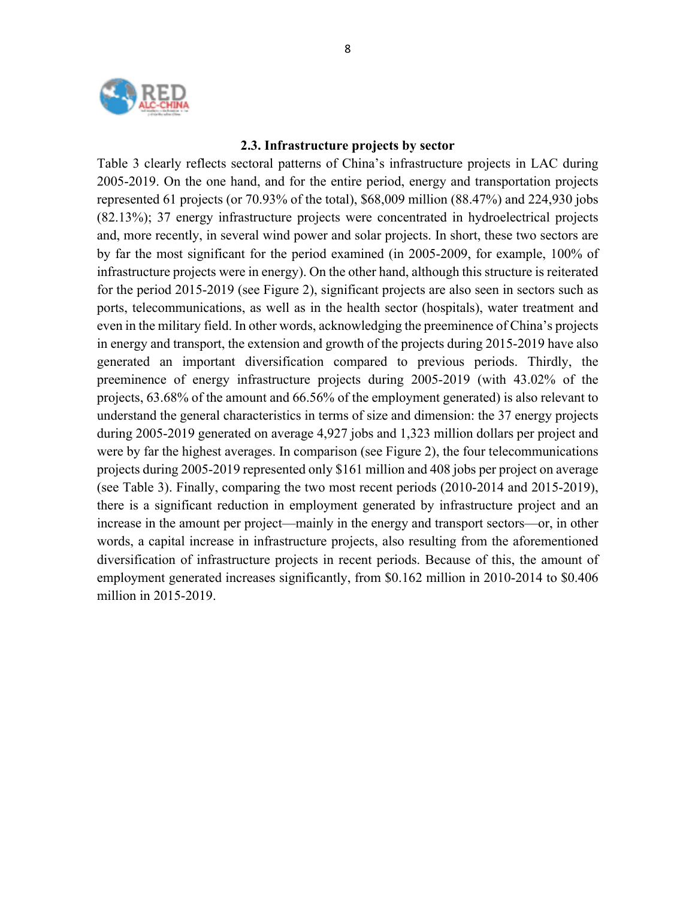

#### **2.3. Infrastructure projects by sector**

Table 3 clearly reflects sectoral patterns of China's infrastructure projects in LAC during 2005-2019. On the one hand, and for the entire period, energy and transportation projects represented 61 projects (or 70.93% of the total), \$68,009 million (88.47%) and 224,930 jobs (82.13%); 37 energy infrastructure projects were concentrated in hydroelectrical projects and, more recently, in several wind power and solar projects. In short, these two sectors are by far the most significant for the period examined (in 2005-2009, for example, 100% of infrastructure projects were in energy). On the other hand, although this structure is reiterated for the period 2015-2019 (see Figure 2), significant projects are also seen in sectors such as ports, telecommunications, as well as in the health sector (hospitals), water treatment and even in the military field. In other words, acknowledging the preeminence of China's projects in energy and transport, the extension and growth of the projects during 2015-2019 have also generated an important diversification compared to previous periods. Thirdly, the preeminence of energy infrastructure projects during 2005-2019 (with 43.02% of the projects, 63.68% of the amount and 66.56% of the employment generated) is also relevant to understand the general characteristics in terms of size and dimension: the 37 energy projects during 2005-2019 generated on average 4,927 jobs and 1,323 million dollars per project and were by far the highest averages. In comparison (see Figure 2), the four telecommunications projects during 2005-2019 represented only \$161 million and 408 jobs per project on average (see Table 3). Finally, comparing the two most recent periods (2010-2014 and 2015-2019), there is a significant reduction in employment generated by infrastructure project and an increase in the amount per project—mainly in the energy and transport sectors—or, in other words, a capital increase in infrastructure projects, also resulting from the aforementioned diversification of infrastructure projects in recent periods. Because of this, the amount of employment generated increases significantly, from \$0.162 million in 2010-2014 to \$0.406 million in 2015-2019.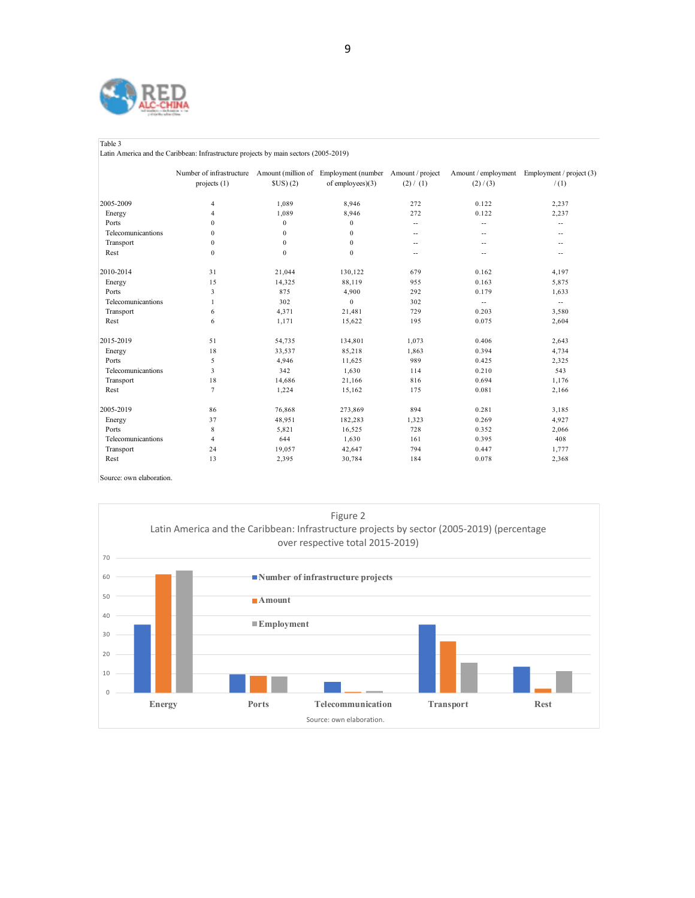

Table 3

Latin America and the Caribbean: Infrastructure projects by main sectors (2005-2019)

|                    | Number of infrastructure Amount (million of Employment (number Amount / project<br>projects $(1)$ | SUS(2)       | of employees $(3)$ | (2) / (1)                | (2) / (3)                | Amount / employment Employment / project (3)<br>/(1) |
|--------------------|---------------------------------------------------------------------------------------------------|--------------|--------------------|--------------------------|--------------------------|------------------------------------------------------|
|                    |                                                                                                   |              |                    |                          |                          |                                                      |
| 2005-2009          | $\overline{4}$                                                                                    | 1,089        | 8.946              | 272                      | 0.122                    | 2,237                                                |
| Energy             | $\overline{4}$                                                                                    | 1.089        | 8.946              | 272                      | 0.122                    | 2,237                                                |
| Ports              | $\Omega$                                                                                          | $\mathbf{0}$ | $\mathbf{0}$       | $\overline{a}$           | $\overline{\phantom{a}}$ | $-$                                                  |
| Telecomunicantions | $\mathbf{0}$                                                                                      | $\mathbf{0}$ | $\mathbf{0}$       | $\overline{a}$           | $\overline{\phantom{a}}$ | $-$                                                  |
| Transport          | $\mathbf{0}$                                                                                      | $\mathbf{0}$ | $\bf{0}$           | $\overline{a}$           | $\overline{\phantom{a}}$ | $- -$                                                |
| Rest               | $\mathbf{0}$                                                                                      | $\mathbf{0}$ | $\mathbf{0}$       | $\overline{\phantom{a}}$ | $-$                      | $-$                                                  |
| 2010-2014          | 31                                                                                                | 21,044       | 130,122            | 679                      | 0.162                    | 4,197                                                |
| Energy             | 15                                                                                                | 14,325       | 88.119             | 955                      | 0.163                    | 5,875                                                |
| Ports              | 3                                                                                                 | 875          | 4,900              | 292                      | 0.179                    | 1,633                                                |
| Telecomunicantions | $\mathbf{1}$                                                                                      | 302          | $\mathbf{0}$       | 302                      | $\sim$                   | $\overline{\phantom{a}}$                             |
| Transport          | 6                                                                                                 | 4.371        | 21,481             | 729                      | 0.203                    | 3,580                                                |
| Rest               | 6                                                                                                 | 1,171        | 15,622             | 195                      | 0.075                    | 2,604                                                |
| 2015-2019          | 51                                                                                                | 54,735       | 134,801            | 1,073                    | 0.406                    | 2,643                                                |
| Energy             | 18                                                                                                | 33,537       | 85,218             | 1,863                    | 0.394                    | 4,734                                                |
| Ports              | 5                                                                                                 | 4,946        | 11,625             | 989                      | 0.425                    | 2,325                                                |
| Telecomunicantions | 3                                                                                                 | 342          | 1.630              | 114                      | 0.210                    | 543                                                  |
| Transport          | 18                                                                                                | 14,686       | 21,166             | 816                      | 0.694                    | 1.176                                                |
| Rest               | $\tau$                                                                                            | 1,224        | 15,162             | 175                      | 0.081                    | 2,166                                                |
| 2005-2019          | 86                                                                                                | 76,868       | 273,869            | 894                      | 0.281                    | 3,185                                                |
| Energy             | 37                                                                                                | 48,951       | 182,283            | 1,323                    | 0.269                    | 4,927                                                |
| Ports              | 8                                                                                                 | 5,821        | 16,525             | 728                      | 0.352                    | 2,066                                                |
| Telecomunicantions | $\overline{4}$                                                                                    | 644          | 1,630              | 161                      | 0.395                    | 408                                                  |
| Transport          | 24                                                                                                | 19,057       | 42,647             | 794                      | 0.447                    | 1,777                                                |
| Rest               | 13                                                                                                | 2,395        | 30,784             | 184                      | 0.078                    | 2,368                                                |

Source: own elaboration.

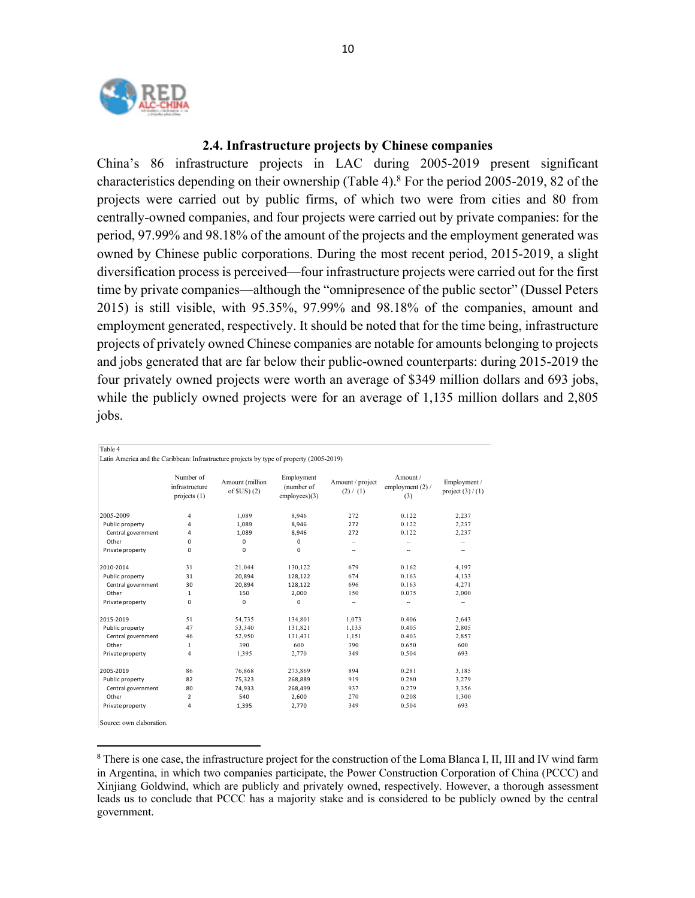

#### **2.4. Infrastructure projects by Chinese companies**

China's 86 infrastructure projects in LAC during 2005-2019 present significant characteristics depending on their ownership (Table 4).<sup>8</sup> For the period 2005-2019, 82 of the projects were carried out by public firms, of which two were from cities and 80 from centrally-owned companies, and four projects were carried out by private companies: for the period, 97.99% and 98.18% of the amount of the projects and the employment generated was owned by Chinese public corporations. During the most recent period, 2015-2019, a slight diversification process is perceived—four infrastructure projects were carried out for the first time by private companies—although the "omnipresence of the public sector" (Dussel Peters 2015) is still visible, with 95.35%, 97.99% and 98.18% of the companies, amount and employment generated, respectively. It should be noted that for the time being, infrastructure projects of privately owned Chinese companies are notable for amounts belonging to projects and jobs generated that are far below their public-owned counterparts: during 2015-2019 the four privately owned projects were worth an average of \$349 million dollars and 693 jobs, while the publicly owned projects were for an average of 1,135 million dollars and 2,805 jobs.

| Latin America and the Caribbean: Infrastructure projects by type of property (2005-2019) |                    |                                             |                                |                                               |                               |                                       |                                     |  |
|------------------------------------------------------------------------------------------|--------------------|---------------------------------------------|--------------------------------|-----------------------------------------------|-------------------------------|---------------------------------------|-------------------------------------|--|
|                                                                                          |                    | Number of<br>infrastructure<br>projects (1) | Amount (million<br>of $SUS(2)$ | Employment<br>(number of<br>$employees$ $(3)$ | Amount / project<br>(2) / (1) | Amount /<br>employment $(2)$ /<br>(3) | Employment /<br>project $(3) / (1)$ |  |
|                                                                                          | 2005-2009          | 4                                           | 1,089                          | 8.946                                         | 272                           | 0.122                                 | 2,237                               |  |
|                                                                                          | Public property    | 4                                           | 1,089                          | 8,946                                         | 272                           | 0.122                                 | 2,237                               |  |
|                                                                                          | Central government | 4                                           | 1,089                          | 8,946                                         | 272                           | 0.122                                 | 2,237                               |  |
|                                                                                          | Other              | 0                                           | $\mathbf 0$                    | 0                                             | $\overline{\phantom{a}}$      | --                                    | $\overline{\phantom{a}}$            |  |
|                                                                                          | Private property   | 0                                           | 0                              | 0                                             | $\overline{\phantom{a}}$      | --                                    |                                     |  |
|                                                                                          | 2010-2014          | 31                                          | 21.044                         | 130.122                                       | 679                           | 0.162                                 | 4,197                               |  |
|                                                                                          | Public property    | 31                                          | 20,894                         | 128,122                                       | 674                           | 0.163                                 | 4,133                               |  |
|                                                                                          | Central government | 30                                          | 20,894                         | 128,122                                       | 696                           | 0.163                                 | 4,271                               |  |
|                                                                                          | Other              | $\mathbf{1}$                                | 150                            | 2,000                                         | 150                           | 0.075                                 | 2,000                               |  |
|                                                                                          | Private property   | 0                                           | 0                              | 0                                             | -                             | --                                    | -                                   |  |
|                                                                                          | 2015-2019          | 51                                          | 54,735                         | 134,801                                       | 1.073                         | 0.406                                 | 2,643                               |  |
|                                                                                          | Public property    | 47                                          | 53,340                         | 131,821                                       | 1,135                         | 0.405                                 | 2,805                               |  |
|                                                                                          | Central government | 46                                          | 52,950                         | 131,431                                       | 1,151                         | 0.403                                 | 2,857                               |  |
|                                                                                          | Other              | 1                                           | 390                            | 600                                           | 390                           | 0.650                                 | 600                                 |  |
|                                                                                          | Private property   | 4                                           | 1.395                          | 2.770                                         | 349                           | 0.504                                 | 693                                 |  |
|                                                                                          | 2005-2019          | 86                                          | 76,868                         | 273,869                                       | 894                           | 0.281                                 | 3,185                               |  |
|                                                                                          | Public property    | 82                                          | 75,323                         | 268,889                                       | 919                           | 0.280                                 | 3,279                               |  |
|                                                                                          | Central government | 80                                          | 74,933                         | 268,499                                       | 937                           | 0.279                                 | 3,356                               |  |
|                                                                                          | Other              | $\overline{2}$                              | 540                            | 2,600                                         | 270                           | 0.208                                 | 1,300                               |  |
|                                                                                          | Private property   | 4                                           | 1,395                          | 2,770                                         | 349                           | 0.504                                 | 693                                 |  |
|                                                                                          |                    |                                             |                                |                                               |                               |                                       |                                     |  |

Source: own elaboration.

Table 4

<sup>&</sup>lt;sup>8</sup> There is one case, the infrastructure project for the construction of the Loma Blanca I, II, III and IV wind farm in Argentina, in which two companies participate, the Power Construction Corporation of China (PCCC) and Xinjiang Goldwind, which are publicly and privately owned, respectively. However, a thorough assessment leads us to conclude that PCCC has a majority stake and is considered to be publicly owned by the central government.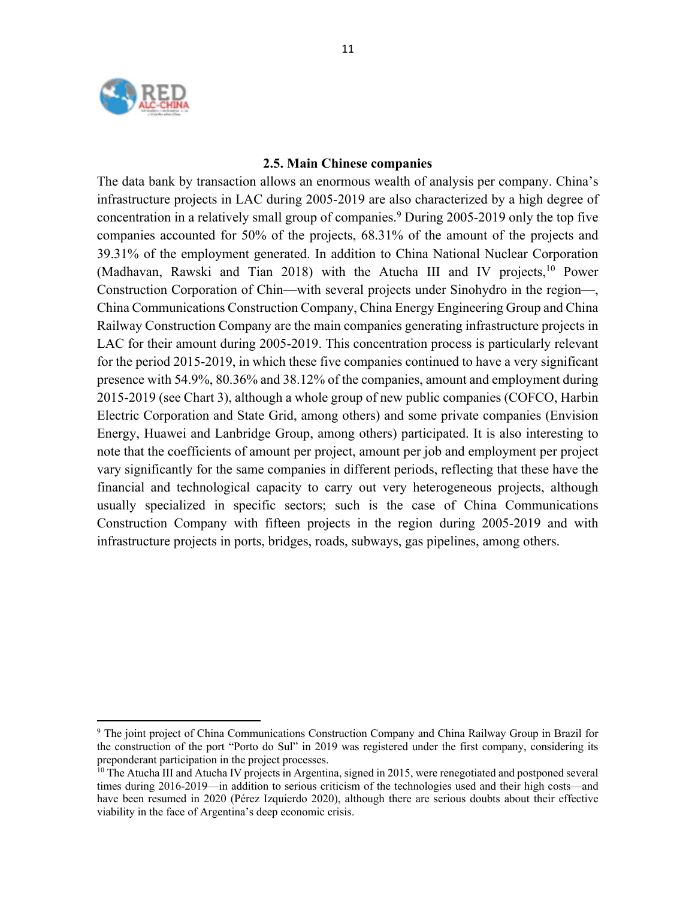

#### **2.5. Main Chinese companies**

The data bank by transaction allows an enormous wealth of analysis per company. China's infrastructure projects in LAC during 2005-2019 are also characterized by a high degree of concentration in a relatively small group of companies. <sup>9</sup> During 2005-2019 only the top five companies accounted for 50% of the projects, 68.31% of the amount of the projects and 39.31% of the employment generated. In addition to China National Nuclear Corporation (Madhavan, Rawski and Tian 2018) with the Atucha III and IV projects, <sup>10</sup> Power Construction Corporation of Chin—with several projects under Sinohydro in the region—, China Communications Construction Company, China Energy Engineering Group and China Railway Construction Company are the main companies generating infrastructure projects in LAC for their amount during 2005-2019. This concentration process is particularly relevant for the period 2015-2019, in which these five companies continued to have a very significant presence with 54.9%, 80.36% and 38.12% of the companies, amount and employment during 2015-2019 (see Chart 3), although a whole group of new public companies (COFCO, Harbin Electric Corporation and State Grid, among others) and some private companies (Envision Energy, Huawei and Lanbridge Group, among others) participated. It is also interesting to note that the coefficients of amount per project, amount per job and employment per project vary significantly for the same companies in different periods, reflecting that these have the financial and technological capacity to carry out very heterogeneous projects, although usually specialized in specific sectors; such is the case of China Communications Construction Company with fifteen projects in the region during 2005-2019 and with infrastructure projects in ports, bridges, roads, subways, gas pipelines, among others.

<sup>9</sup> The joint project of China Communications Construction Company and China Railway Group in Brazil for the construction of the port "Porto do Sul" in 2019 was registered under the first company, considering its preponderant participation in the project processes.

 $10$  The Atucha III and Atucha IV projects in Argentina, signed in 2015, were renegotiated and postponed several times during 2016-2019—in addition to serious criticism of the technologies used and their high costs—and have been resumed in 2020 (Pérez Izquierdo 2020), although there are serious doubts about their effective viability in the face of Argentina's deep economic crisis.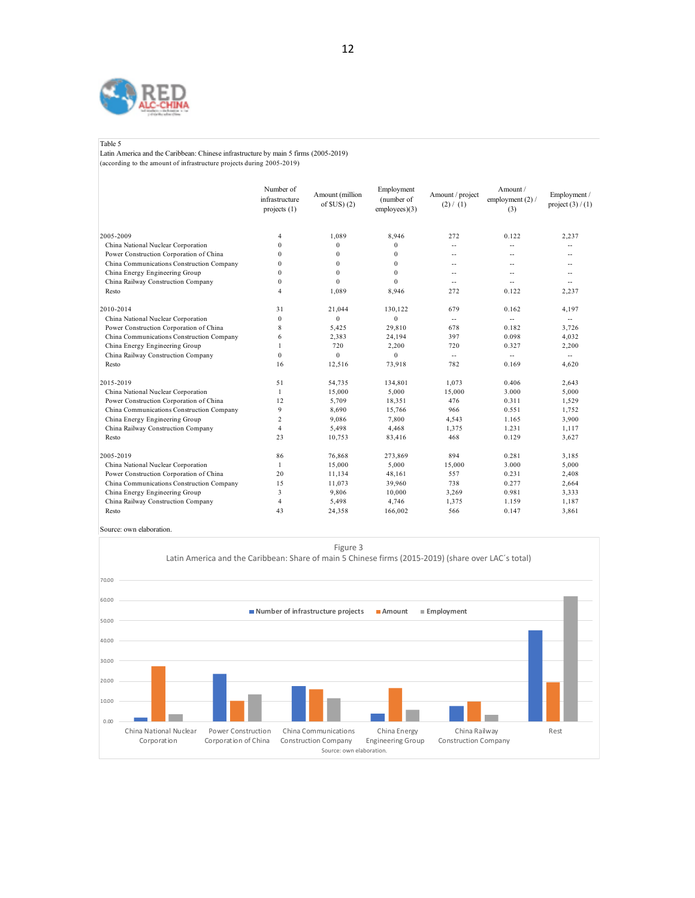

#### Table 5

Latin America and the Caribbean: Chinese infrastructure by main 5 firms (2005-2019) (according to the amount of infrastructure projects during 2005-2019)

|                                           | Number of<br>infrastructure<br>projects $(1)$ | Amount (million<br>of $SUS(2)$ | Employment<br>(number of<br>$employees$ $(3)$ | Amount / project<br>(2) / (1) | Amount/<br>employment $(2)$ /<br>(3) | Employment /<br>project $(3) / (1)$ |
|-------------------------------------------|-----------------------------------------------|--------------------------------|-----------------------------------------------|-------------------------------|--------------------------------------|-------------------------------------|
| 2005-2009                                 | 4                                             | 1.089                          | 8.946                                         | 272                           | 0.122                                | 2.237                               |
| China National Nuclear Corporation        | $\theta$                                      | $\mathbf{0}$                   | $\mathbf{0}$                                  | $\overline{a}$                | $\overline{a}$                       |                                     |
| Power Construction Corporation of China   | $\Omega$                                      | $\mathbf{0}$                   | $\mathbf{0}$                                  | $\overline{a}$                |                                      |                                     |
| China Communications Construction Company | $\Omega$                                      | $\mathbf{0}$                   | $\Omega$                                      | $\overline{a}$                | $\overline{\phantom{a}}$             | $-$                                 |
| China Energy Engineering Group            | $\Omega$                                      | $\mathbf{0}$                   | $\Omega$                                      | $-$                           | $\overline{\phantom{a}}$             | $-$                                 |
| China Railway Construction Company        | $\Omega$                                      | $\theta$                       | $\Omega$                                      | н.                            | $\overline{a}$                       | $\overline{a}$                      |
| Resto                                     | $\overline{4}$                                | 1,089                          | 8,946                                         | 272                           | 0.122                                | 2,237                               |
| 2010-2014                                 | 31                                            | 21,044                         | 130.122                                       | 679                           | 0.162                                | 4.197                               |
| China National Nuclear Corporation        | $\mathbf{0}$                                  | $\Omega$                       | $\mathbf{0}$                                  | $\sim$                        | $\sim$                               | $\mathcal{L}_{\mathcal{F}}$         |
| Power Construction Corporation of China   | 8                                             | 5,425                          | 29,810                                        | 678                           | 0.182                                | 3,726                               |
| China Communications Construction Company | 6                                             | 2,383                          | 24,194                                        | 397                           | 0.098                                | 4,032                               |
| China Energy Engineering Group            | 1                                             | 720                            | 2,200                                         | 720                           | 0.327                                | 2,200                               |
| China Railway Construction Company        | $\theta$                                      | $\theta$                       | $\Omega$                                      | $\sim$                        | $\sim$                               | $\mathcal{L}$                       |
| Resto                                     | 16                                            | 12,516                         | 73,918                                        | 782                           | 0.169                                | 4,620                               |
| 2015-2019                                 | 51                                            | 54,735                         | 134,801                                       | 1,073                         | 0.406                                | 2,643                               |
| China National Nuclear Corporation        | $\mathbf{1}$                                  | 15,000                         | 5.000                                         | 15,000                        | 3.000                                | 5,000                               |
| Power Construction Corporation of China   | 12                                            | 5,709                          | 18,351                                        | 476                           | 0.311                                | 1,529                               |
| China Communications Construction Company | 9                                             | 8,690                          | 15,766                                        | 966                           | 0.551                                | 1,752                               |
| China Energy Engineering Group            | $\overline{c}$                                | 9,086                          | 7,800                                         | 4,543                         | 1.165                                | 3,900                               |
| China Railway Construction Company        | $\overline{4}$                                | 5,498                          | 4,468                                         | 1,375                         | 1.231                                | 1,117                               |
| Resto                                     | 23                                            | 10,753                         | 83,416                                        | 468                           | 0.129                                | 3,627                               |
| 2005-2019                                 | 86                                            | 76,868                         | 273,869                                       | 894                           | 0.281                                | 3,185                               |
| China National Nuclear Corporation        | $\mathbf{1}$                                  | 15,000                         | 5,000                                         | 15,000                        | 3.000                                | 5,000                               |
| Power Construction Corporation of China   | 20                                            | 11,134                         | 48,161                                        | 557                           | 0.231                                | 2,408                               |
| China Communications Construction Company | 15                                            | 11,073                         | 39,960                                        | 738                           | 0.277                                | 2,664                               |
| China Energy Engineering Group            | 3                                             | 9,806                          | 10,000                                        | 3,269                         | 0.981                                | 3,333                               |
| China Railway Construction Company        | 4                                             | 5,498                          | 4,746                                         | 1,375                         | 1.159                                | 1,187                               |
| Resto                                     | 43                                            | 24,358                         | 166,002                                       | 566                           | 0.147                                | 3,861                               |

Source: own elaboration.

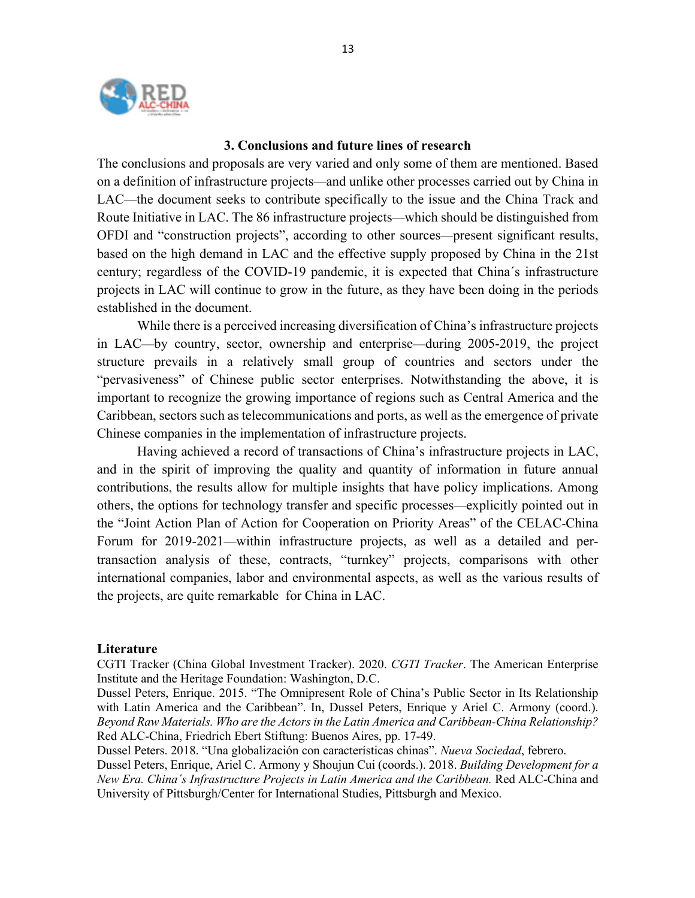

#### **3. Conclusions and future lines of research**

The conclusions and proposals are very varied and only some of them are mentioned. Based on a definition of infrastructure projects—and unlike other processes carried out by China in LAC—the document seeks to contribute specifically to the issue and the China Track and Route Initiative in LAC. The 86 infrastructure projects—which should be distinguished from OFDI and "construction projects", according to other sources—present significant results, based on the high demand in LAC and the effective supply proposed by China in the 21st century; regardless of the COVID-19 pandemic, it is expected that China´s infrastructure projects in LAC will continue to grow in the future, as they have been doing in the periods established in the document.

While there is a perceived increasing diversification of China's infrastructure projects in LAC—by country, sector, ownership and enterprise—during 2005-2019, the project structure prevails in a relatively small group of countries and sectors under the "pervasiveness" of Chinese public sector enterprises. Notwithstanding the above, it is important to recognize the growing importance of regions such as Central America and the Caribbean, sectors such as telecommunications and ports, as well as the emergence of private Chinese companies in the implementation of infrastructure projects.

Having achieved a record of transactions of China's infrastructure projects in LAC, and in the spirit of improving the quality and quantity of information in future annual contributions, the results allow for multiple insights that have policy implications. Among others, the options for technology transfer and specific processes—explicitly pointed out in the "Joint Action Plan of Action for Cooperation on Priority Areas" of the CELAC-China Forum for 2019-2021—within infrastructure projects, as well as a detailed and pertransaction analysis of these, contracts, "turnkey" projects, comparisons with other international companies, labor and environmental aspects, as well as the various results of the projects, are quite remarkable for China in LAC.

#### **Literature**

CGTI Tracker (China Global Investment Tracker). 2020. *CGTI Tracker*. The American Enterprise Institute and the Heritage Foundation: Washington, D.C.

Dussel Peters, Enrique. 2015. "The Omnipresent Role of China's Public Sector in Its Relationship with Latin America and the Caribbean". In, Dussel Peters, Enrique y Ariel C. Armony (coord.). *Beyond Raw Materials. Who are the Actors in the Latin America and Caribbean-China Relationship?* Red ALC-China, Friedrich Ebert Stiftung: Buenos Aires, pp. 17-49.

Dussel Peters. 2018. "Una globalización con características chinas". *Nueva Sociedad*, febrero.

Dussel Peters, Enrique, Ariel C. Armony y Shoujun Cui (coords.). 2018. *Building Development for a New Era. China´s Infrastructure Projects in Latin America and the Caribbean.* Red ALC-China and University of Pittsburgh/Center for International Studies, Pittsburgh and Mexico.